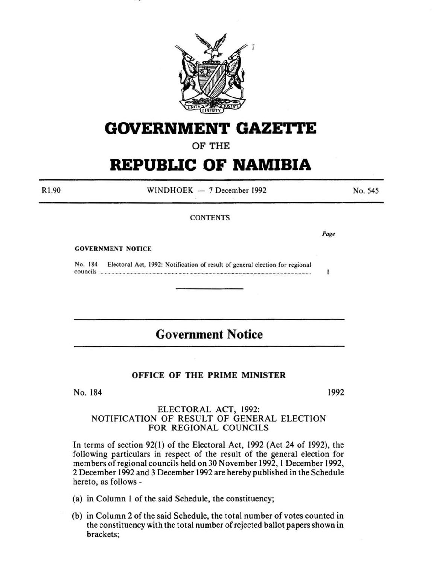

# **GOVERNMENT GAZE1"1'E**

OF THE

# **REPUBLIC OF NAMIBIA**

Rl ,90  $WINDHOEK - 7 December 1992$ **CONTENTS** *Page*  No. 545

GOVERNMENT NOTICE

No. 184 Electoral Act, 1992: Notification of result of general election for regional councils .......................................................................................................................................................... .

# **Government Notice**

#### OFFICE OF THE PRIME MINISTER

No. 184

1992

1

#### ELECTORAL ACT, 1992: NOTIFICATION OF RESULT OF GENERAL ELECTION FOR REGIONAL COUNCILS

In terms of section 92(1) of the Electoral Act, 1992 (Act 24 of 1992), the following particulars in respect of the result of the general election for members of regional councils held on 30 November 1992, 1 December 1992, 2 December 1992 and 3 December 1992 are hereby published in the Schedule hereto, as follows -

(a) in Column I of the said Schedule, the constituency;

(b) in Column 2 of the said Schedule, the total number of votes counted in the constituency with the total number of rejected ballot papers shown in brackets;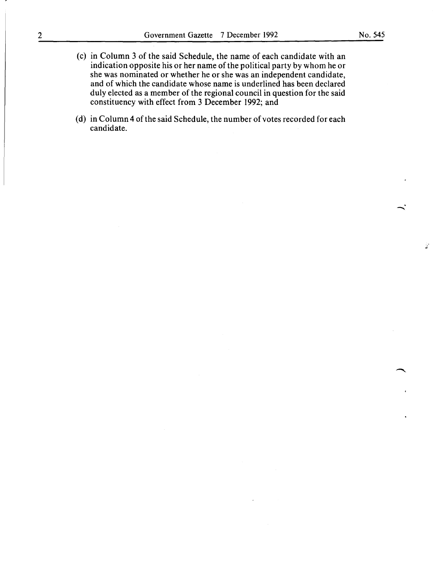- (c) in Column 3 of the said Schedule, the name of each candidate with an indication opposite his or her name of the political party by whom he or she was nominated or whether he or she was an independent candidate, and of which the candidate whose name is underlined has been declared duly elected as a member of the regional council in question for the said constituency with effect from 3 December 1992; and
- (d) in Column 4 of the said Schedule, the number of votes recorded for each candidate.

**-**

Ż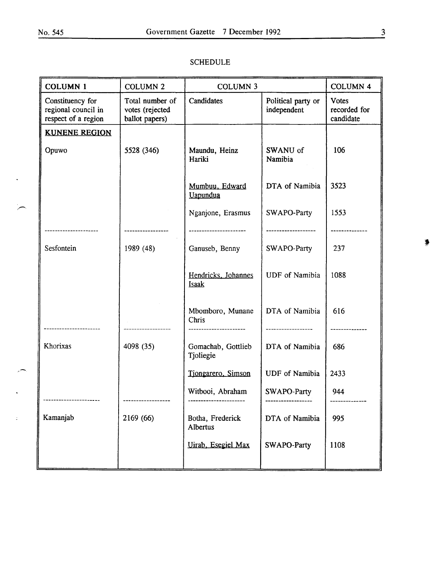$\bar{\mathcal{A}}$ 

 $\overline{a}$ 

 $\sim$ 

 $\overline{a}$ 

 $\frac{1}{2}$ 

| ٠<br>۰. |
|---------|
|         |
|         |
| ×<br>۰, |

| <b>SCHEDULE</b> |  |
|-----------------|--|
|-----------------|--|

| <b>COLUMN 1</b>                                                | <b>COLUMN 2</b>                                      | <b>COLUMN 3</b>                   |                                   | <b>COLUMN 4</b>                           |
|----------------------------------------------------------------|------------------------------------------------------|-----------------------------------|-----------------------------------|-------------------------------------------|
| Constituency for<br>regional council in<br>respect of a region | Total number of<br>votes (rejected<br>ballot papers) | Candidates                        | Political party or<br>independent | <b>Votes</b><br>recorded for<br>candidate |
| <b>KUNENE REGION</b>                                           |                                                      |                                   |                                   |                                           |
| Opuwo                                                          | 5528 (346)                                           | Maundu, Heinz<br>Hariki           | SWANU of<br>Namibia               | 106                                       |
|                                                                |                                                      | Mumbuu, Edward<br><b>Uapundua</b> | DTA of Namibia                    | 3523                                      |
|                                                                |                                                      | Nganjone, Erasmus                 | SWAPO-Party                       | 1553                                      |
| .                                                              |                                                      |                                   | ----------------                  |                                           |
| Sesfontein                                                     | 1989 (48)                                            | Ganuseb, Benny                    | SWAPO-Party                       | 237                                       |
|                                                                |                                                      | Hendricks, Johannes<br>Isaak      | <b>UDF</b> of Namibia             | 1088                                      |
|                                                                |                                                      | Mbomboro, Munane<br>Chris         | DTA of Namibia                    | 616                                       |
| Khorixas                                                       | 4098 (35)                                            | Gomachab, Gottlieb<br>Tjoliegie   | DTA of Namibia                    | 686                                       |
|                                                                |                                                      | Tiongarero, Simson                | <b>UDF</b> of Namibia             | 2433                                      |
|                                                                |                                                      | Witbooi, Abraham                  | SWAPO-Party                       | 944                                       |
| Kamanjab                                                       | 2169 (66)                                            | Botha, Frederick<br>Albertus      | DTA of Namibia                    | 995                                       |
|                                                                |                                                      | Uirab, Esegiel Max                | SWAPO-Party                       | 1108                                      |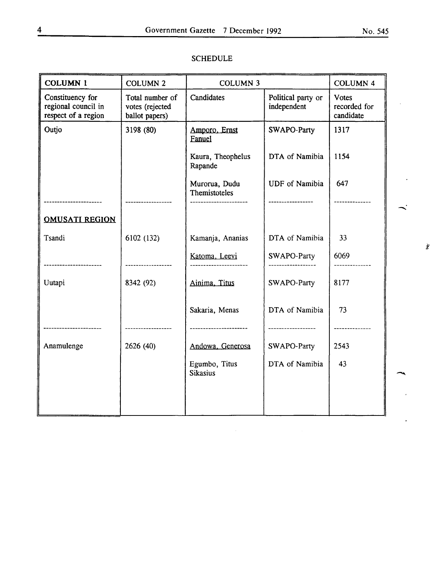ż

| <b>COLUMN 1</b>                                                | <b>COLUMN 2</b>                                      | <b>COLUMN 3</b>                                      |                                   | <b>COLUMN 4</b>                           |  |
|----------------------------------------------------------------|------------------------------------------------------|------------------------------------------------------|-----------------------------------|-------------------------------------------|--|
| Constituency for<br>regional council in<br>respect of a region | Total number of<br>votes (rejected<br>ballot papers) | Candidates                                           | Political party or<br>independent | <b>Votes</b><br>recorded for<br>candidate |  |
| Outjo                                                          | 3198 (80)                                            | Amporo, Ernst<br>Fanuel                              | SWAPO-Party                       | 1317                                      |  |
|                                                                |                                                      | Kaura, Theophelus<br>Rapande                         | DTA of Namibia                    | 1154                                      |  |
|                                                                |                                                      | Murorua, Dudu<br>Themistoteles<br>------------------ | <b>UDF</b> of Namibia             | 647                                       |  |
|                                                                |                                                      |                                                      |                                   |                                           |  |
| <b>OMUSATI REGION</b>                                          |                                                      |                                                      |                                   |                                           |  |
| Tsandi                                                         | 6102 (132)                                           | Kamanja, Ananias                                     | DTA of Namibia                    | 33                                        |  |
|                                                                |                                                      | Katoma, Leevi                                        | SWAPO-Party                       | 6069                                      |  |
| Uutapi                                                         | 8342 (92)                                            | Ainima, Titus                                        | SWAPO-Party                       | 8177                                      |  |
|                                                                |                                                      | Sakaria, Menas                                       | DTA of Namibia                    | 73                                        |  |
| ------------------                                             | .                                                    | -------------------                                  | -------------------               | ------------                              |  |
| Anamulenge                                                     | 2626 (40)                                            | Andowa, Generosa                                     | SWAPO-Party                       | 2543                                      |  |
|                                                                |                                                      | Egumbo, Titus<br><b>Sikasius</b>                     | DTA of Namibia                    | 43                                        |  |
|                                                                |                                                      |                                                      |                                   |                                           |  |
|                                                                |                                                      |                                                      |                                   |                                           |  |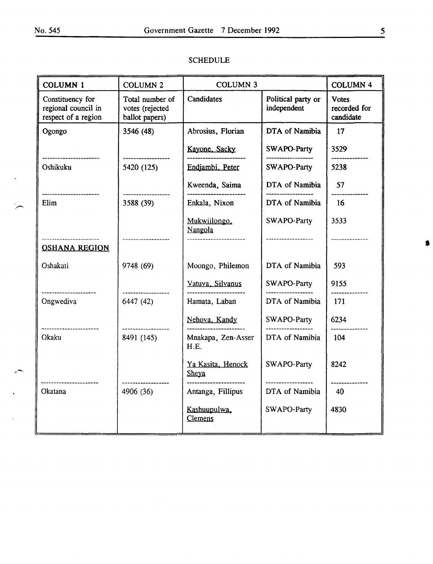$\ddot{\phantom{a}}$ 

 $\overline{a}$ 

 $\overline{\phantom{a}}$ 

| <b>COLUMN 1</b>                                                | <b>COLUMN 2</b>                                      | <b>COLUMN 3</b>            |                                      | <b>COLUMN 4</b>                           |
|----------------------------------------------------------------|------------------------------------------------------|----------------------------|--------------------------------------|-------------------------------------------|
| Constituency for<br>regional council in<br>respect of a region | Total number of<br>votes (rejected<br>ballot papers) | <b>Candidates</b>          | Political party or<br>independent    | <b>Votes</b><br>recorded for<br>candidate |
| Ogongo                                                         | 3546 (48)                                            | Abrosius, Florian          | DTA of Namibia                       | 17                                        |
|                                                                |                                                      | Kayone, Sacky              | SWAPO-Party                          | 3529                                      |
| <br>Oshikuku                                                   | 5420 (125)                                           | Endjambi, Peter            | SWAPO-Party                          | 5238                                      |
| ---------------------                                          | ------------------                                   | Kweenda, Saima             | DTA of Namibia                       | 57                                        |
| Elim                                                           | 3588 (39)                                            | Enkala, Nixon              | DTA of Namibia                       | 16                                        |
|                                                                | ------------------                                   | Mukwiilongo,<br>Nangola    | SWAPO-Party                          | 3533<br>------------                      |
| <b>OSHANA REGION</b>                                           |                                                      |                            |                                      |                                           |
| Oshakati                                                       | 9748 (69)                                            | Moongo, Philemon           | DTA of Namibia                       | 593                                       |
| --------------                                                 |                                                      | Vatuva, Silvanus           | SWAPO-Party                          | 9155<br>--------------                    |
| Ongwediva                                                      | 6447 (42)                                            | Hamata, Laban              | DTA of Namibia                       | 171                                       |
| ---------------------                                          |                                                      | Nehova, Kandy              | SWAPO-Party                          | 6234                                      |
| Okaku                                                          | 8491 (145)                                           | Mnakapa, Zen-Asser<br>H.E. | DTA of Namibia                       | 104                                       |
|                                                                |                                                      | Ya Kasita, Henock<br>Sheya | SWAPO-Party                          | 8242                                      |
| -----------------<br>Okatana                                   | 4906 (36)                                            | Antanga, Fillipus          | ------------------<br>DTA of Namibia | ------------<br>40                        |
|                                                                |                                                      | Kashuupulwa,<br>Clemens    | SWAPO-Party                          | 4830                                      |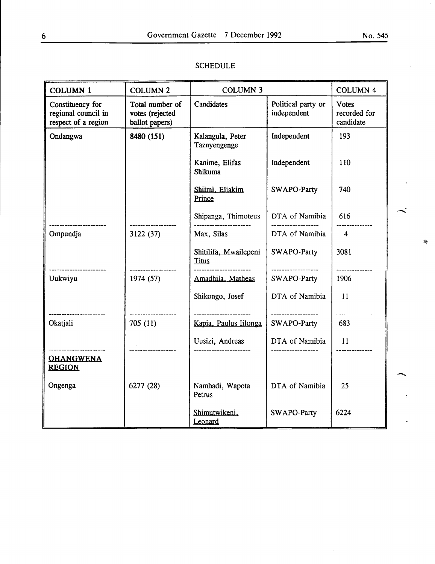| <b>COLUMN 1</b>                                                | <b>COLUMN 2</b>                                      | <b>COLUMN 3</b>                                 |                                   | <b>COLUMN 4</b>                           |
|----------------------------------------------------------------|------------------------------------------------------|-------------------------------------------------|-----------------------------------|-------------------------------------------|
| Constituency for<br>regional council in<br>respect of a region | Total number of<br>votes (rejected<br>ballot papers) | Candidates                                      | Political party or<br>independent | <b>Votes</b><br>recorded for<br>candidate |
| Ondangwa                                                       | 8480 (151)                                           | Kalangula, Peter<br>Taznyengenge                | Independent                       | 193                                       |
|                                                                |                                                      | Kanime, Elifas<br>Shikuma                       | Independent                       | 110                                       |
|                                                                |                                                      | Shiimi, Eliakim<br>Prince                       | SWAPO-Party                       | 740                                       |
|                                                                |                                                      | Shipanga, Thimoteus                             | DTA of Namibia                    | 616                                       |
| Ompundja                                                       | 3122(37)                                             | Max, Silas                                      | DTA of Namibia                    | $\overline{4}$                            |
|                                                                |                                                      | Shitilifa, Mwailepeni<br><b>Titus</b>           | SWAPO-Party                       | 3081                                      |
| -------------------<br>Uukwiyu                                 | 1974(57)                                             | Amadhila, Matheas                               | ------------------<br>SWAPO-Party | 1906                                      |
|                                                                |                                                      | Shikongo, Josef                                 | DTA of Namibia                    | 11                                        |
| -----------------<br>Okatjali                                  | ------------------<br>705(11)                        | ----------------------<br>Kapia, Paulus Iilonga | ------------------<br>SWAPO-Party | -------------<br>683                      |
|                                                                |                                                      | Uusizi, Andreas                                 | DTA of Namibia                    | 11                                        |
| <br><b>OHANGWENA</b><br><b>REGION</b>                          |                                                      |                                                 |                                   | -----------                               |
| Ongenga                                                        | 6277 (28)                                            | Namhadi, Wapota<br>Petrus                       | DTA of Namibia                    | 25                                        |
|                                                                |                                                      | Shimutwikeni,<br>Leonard                        | SWAPO-Party                       | 6224                                      |

#### SCHEDULE

 $\frac{1}{2}$ 

 $\ddot{\phantom{a}}$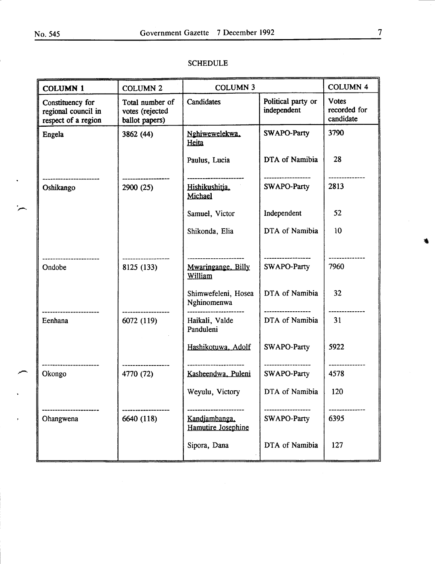$\overline{a}$ 

| <b>COLUMN 1</b>                                                | <b>COLUMN 2</b>                                      | <b>COLUMN 3</b>                           |                                   | <b>COLUMN 4</b>                           |
|----------------------------------------------------------------|------------------------------------------------------|-------------------------------------------|-----------------------------------|-------------------------------------------|
| Constituency for<br>regional council in<br>respect of a region | Total number of<br>votes (rejected<br>ballot papers) | Candidates                                | Political party or<br>independent | <b>Votes</b><br>recorded for<br>candidate |
| Engela                                                         | 3862 (44)                                            | Nghiwewelekwa,<br>Heita                   | <b>SWAPO-Party</b>                | 3790                                      |
| ______________________                                         |                                                      | Paulus, Lucia<br>--------------------     | DTA of Namibia<br>                | 28                                        |
| Oshikango                                                      | 2900 (25)                                            | Hishikushitja,<br>Michael                 | SWAPO-Party                       | 2813                                      |
|                                                                |                                                      | Samuel, Victor                            | Independent                       | 52                                        |
|                                                                |                                                      | Shikonda, Elia                            | DTA of Namibia                    | 10                                        |
| --------------<br>Ondobe                                       | 8125 (133)                                           | <br>Mwaringange, Billy<br>William         | SWAPO-Party                       | 7960                                      |
| -----------                                                    |                                                      | Shimwefeleni, Hosea<br>Nghinomenwa        | DTA of Namibia                    | 32                                        |
| Eenhana                                                        | 6072 (119)                                           | Haikali, Valde<br>Panduleni               | DTA of Namibia                    | 31                                        |
|                                                                |                                                      | Hashikotuwa, Adolf<br>------------------- | SWAPO-Party<br>------------------ | 5922                                      |
| Okongo                                                         | 4770 (72)                                            | Kasheendwa, Puleni                        | SWAPO-Party                       | 4578                                      |
|                                                                |                                                      | Weyulu, Victory                           | DTA of Namibia                    | 120                                       |
| Ohangwena                                                      | 6640 (118)                                           | Kandiambanga,<br>Hamutire Josephine       | --------------<br>SWAPO-Party     | 6395                                      |
|                                                                |                                                      | Sipora, Dana                              | DTA of Namibia                    | 127                                       |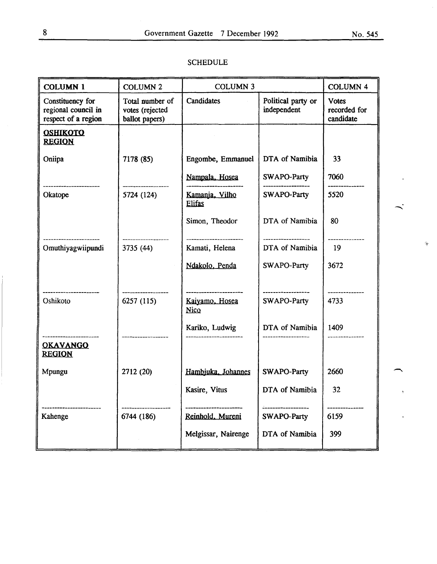| <b>COLUMN 1</b>                                                | <b>COLUMN 2</b>                                      | <b>COLUMN 3</b>                 |                                   | <b>COLUMN 4</b>                           |   |
|----------------------------------------------------------------|------------------------------------------------------|---------------------------------|-----------------------------------|-------------------------------------------|---|
| Constituency for<br>regional council in<br>respect of a region | Total number of<br>votes (rejected<br>ballot papers) | Candidates                      | Political party or<br>independent | <b>Votes</b><br>recorded for<br>candidate |   |
| <b>OSHIKOTO</b><br><b>REGION</b>                               |                                                      |                                 |                                   |                                           |   |
| Oniipa                                                         | 7178 (85)                                            | Engombe, Emmanuel               | DTA of Namibia                    | 33                                        |   |
|                                                                |                                                      | Nampala, Hosea                  | SWAPO-Party                       | 7060                                      |   |
| -----------------<br>Okatope                                   | 5724 (124)                                           | Kamanja, Vilho<br><b>Elifas</b> | SWAPO-Party                       | 5520                                      |   |
|                                                                |                                                      | Simon, Theodor                  | DTA of Namibia                    | 80                                        |   |
| Omuthiyagwiipundi                                              | 3735 (44)                                            | Kamati, Helena                  | DTA of Namibia                    | 19                                        | 淹 |
|                                                                |                                                      | Ndakolo, Penda                  | SWAPO-Party                       | 3672                                      |   |
| <br>Oshikoto                                                   | 6257(115)                                            | Kaiyamo, Hosea<br><b>Nico</b>   | ---------------<br>SWAPO-Party    | 4733                                      |   |
|                                                                |                                                      | Kariko, Ludwig                  | DTA of Namibia                    | 1409                                      |   |
| <b>OKAVANGO</b><br><b>REGION</b>                               |                                                      |                                 |                                   |                                           |   |
| Mpungu                                                         | 2712 (20)                                            | Hambjuka, Johannes              | SWAPO-Party                       | 2660                                      |   |
|                                                                |                                                      | Kasire, Vitus                   | DTA of Namibia                    | 32                                        |   |
| Kahenge                                                        | 6744 (186)                                           | Reinhold, Mureni                | SWAPO-Party                       | 6159                                      |   |
|                                                                |                                                      | Melgissar, Nairenge             | DTA of Namibia                    | 399                                       |   |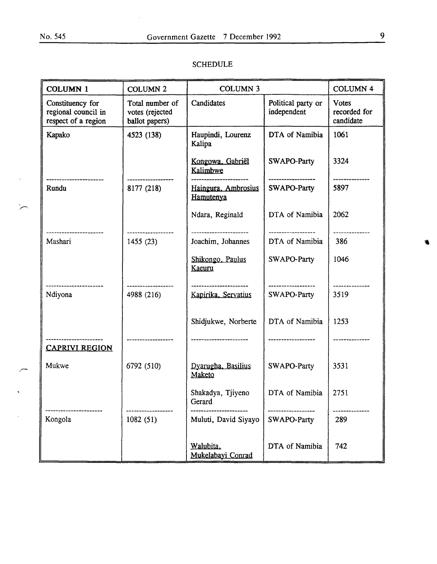$\bar{z}$ 

 $\overline{a}$ 

 $\overline{a}$ 

 $\frac{1}{\sqrt{2}}$ 

 $\frac{1}{2}$ 

 $\bar{z}$ 

# SCHEDULE

| <b>COLUMN 1</b>                                                | <b>COLUMN 2</b>                                      | <b>COLUMN 3</b>                               |                                   | <b>COLUMN 4</b>                           |
|----------------------------------------------------------------|------------------------------------------------------|-----------------------------------------------|-----------------------------------|-------------------------------------------|
| Constituency for<br>regional council in<br>respect of a region | Total number of<br>votes (rejected<br>ballot papers) | Candidates                                    | Political party or<br>independent | <b>Votes</b><br>recorded for<br>candidate |
| Kapako                                                         | 4523 (138)                                           | Haupindi, Lourenz<br>Kalipa                   | DTA of Namibia                    | 1061                                      |
|                                                                |                                                      | Kongowa, Gabriël<br>Kalimbwe                  | SWAPO-Party                       | 3324                                      |
| ----------------<br>Rundu                                      | 8177 (218)                                           | Haingura, Ambrosius<br>Hamutenya              | SWAPO-Party                       | 5897                                      |
|                                                                |                                                      | Ndara, Reginald                               | DTA of Namibia                    | 2062                                      |
| -------------<br>Mashari                                       | 1455(23)                                             | -------------------<br>Joachim, Johannes      | DTA of Namibia                    | 386                                       |
|                                                                |                                                      | Shikongo, Paulus<br>Kaeuru                    | SWAPO-Party                       | 1046                                      |
| <br>Ndiyona                                                    | 4988 (216)                                           | ----------------------<br>Kapirika, Servatius | ------------------<br>SWAPO-Party | 3519                                      |
|                                                                |                                                      | Shidjukwe, Norberte                           | DTA of Namibia                    | 1253                                      |
| .<br><b>CAPRIVI REGION</b>                                     |                                                      |                                               |                                   |                                           |
| Mukwe                                                          | 6792 (510)                                           | Dvarugha, Basilius<br>Maketo                  | SWAPO-Party                       | 3531                                      |
|                                                                |                                                      | Shakadya, Tjiyeno<br>Gerard                   | DTA of Namibia                    | 2751                                      |
| Kongola                                                        | 1082(51)                                             | Muluti, David Siyayo                          | SWAPO-Party                       | 289                                       |
|                                                                |                                                      | Walubita,<br>Mukelabayi Conrad                | DTA of Namibia                    | 742                                       |

瘟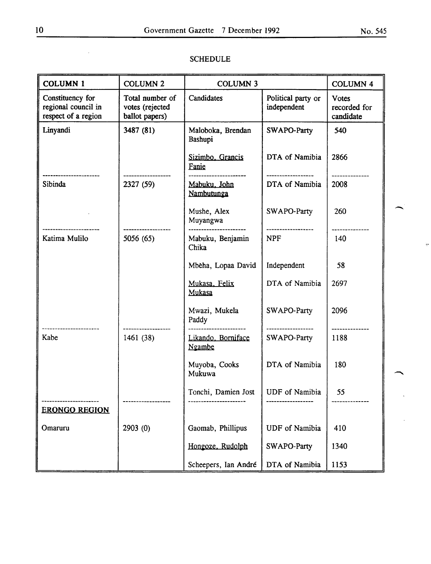ų.

| <b>COLUMN 1</b>                                                | <b>COLUMN 2</b>                                      | <b>COLUMN 3</b>              |                                   | <b>COLUMN 4</b>                |
|----------------------------------------------------------------|------------------------------------------------------|------------------------------|-----------------------------------|--------------------------------|
| Constituency for<br>regional council in<br>respect of a region | Total number of<br>votes (rejected<br>ballot papers) | Candidates                   | Political party or<br>independent |                                |
| Linyandi                                                       | 3487 (81)                                            | Maloboka, Brendan<br>Bashupi | SWAPO-Party                       | 540                            |
|                                                                |                                                      | Sizimbo, Grancis<br>Fanie    | DTA of Namibia                    | 2866<br><u>_____________</u> _ |
| <br>Sibinda                                                    | 2327 (59)                                            | Mabuku, John<br>Nambutunga   | DTA of Namibia                    | 2008                           |
|                                                                |                                                      | Mushe, Alex<br>Muyangwa      | SWAPO-Party                       | 260                            |
| Katima Mulilo                                                  | 5056(65)                                             | Mabuku, Benjamin<br>Chika    | -------------------<br><b>NPF</b> | 140                            |
|                                                                |                                                      | Mbeha, Lopaa David           | Independent                       | 58                             |
|                                                                |                                                      | Mukasa, Felix<br>Mukasa      | DTA of Namibia                    | 2697                           |
|                                                                |                                                      | Mwazi, Mukela<br>Paddy       | SWAPO-Party                       | 2096                           |
| Kabe                                                           | 1461 (38)                                            | Likando, Borniface<br>Ngambe | ------------------<br>SWAPO-Party | --------------<br>1188         |
|                                                                |                                                      | Muyoba, Cooks<br>Mukuwa      | DTA of Namibia                    | 180                            |
|                                                                |                                                      | Tonchi, Damien Jost          | UDF of Namibia                    | 55                             |
| <b>ERONGO REGION</b>                                           |                                                      |                              |                                   |                                |
| Omaruru                                                        | 2903 (0)                                             | Gaomab, Phillipus            | <b>UDF</b> of Namibia             | 410                            |
|                                                                |                                                      | Hongoze, Rudolph             | SWAPO-Party                       | 1340                           |
|                                                                |                                                      | Scheepers, Ian André         | DTA of Namibia                    | 1153                           |

#### SCHEDULE

 $\bar{\mathcal{A}}$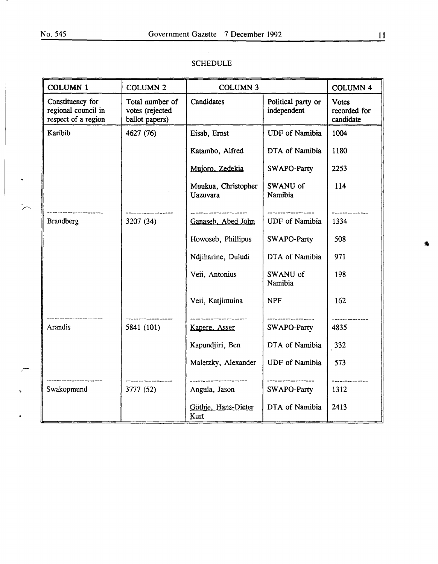$\ddot{\phantom{1}}$ 

 $\overline{a}$ 

 $\sqrt{ }$ 

 $\ddot{\phantom{1}}$ 

 $\cdot$ 

| <b>COLUMN 1</b>                                                | <b>COLUMN 2</b>                                      | <b>COLUMN 3</b>                        |                                   | <b>COLUMN 4</b>                           |
|----------------------------------------------------------------|------------------------------------------------------|----------------------------------------|-----------------------------------|-------------------------------------------|
| Constituency for<br>regional council in<br>respect of a region | Total number of<br>votes (rejected<br>ballot papers) | Candidates                             | Political party or<br>independent | <b>Votes</b><br>recorded for<br>candidate |
| Karibib                                                        | 4627 (76)                                            | Eisab, Ernst                           | <b>UDF</b> of Namibia             | 1004                                      |
|                                                                |                                                      | Katambo, Alfred                        | DTA of Namibia                    | 1180                                      |
|                                                                |                                                      | Mujoro, Zedekia                        | SWAPO-Party                       | 2253                                      |
|                                                                |                                                      | Muukua, Christopher<br><b>Uazuvara</b> | SWANU of<br>Namibia               | 114                                       |
| <b>Brandberg</b>                                               | 3207 (34)                                            | Ganaseb, Abed John                     | <b>UDF</b> of Namibia             | 1334                                      |
|                                                                |                                                      | Howoseb, Phillipus                     | SWAPO-Party                       | 508                                       |
|                                                                |                                                      | Ndjiharine, Duludi                     | DTA of Namibia                    | 971                                       |
|                                                                |                                                      | Veii, Antonius                         | SWANU of<br>Namibia               | 198                                       |
|                                                                |                                                      | Veii, Katjimuina                       | <b>NPF</b>                        | 162                                       |
| Arandis                                                        | 5841 (101)                                           | .<br>Kapere, Asser                     | --------------<br>SWAPO-Party     | 4835                                      |
|                                                                |                                                      | Kapundjiri, Ben                        | DTA of Namibia                    | 332                                       |
|                                                                |                                                      | Maletzky, Alexander                    | <b>UDF</b> of Namibia             | 573                                       |
| Swakopmund                                                     | 3777 (52)                                            | Angula, Jason                          | SWAPO-Party                       | 1312                                      |
|                                                                |                                                      | Göthie, Hans-Dieter<br>Kurt            | DTA of Namibia                    | 2413                                      |

#### SCHEDULE

۰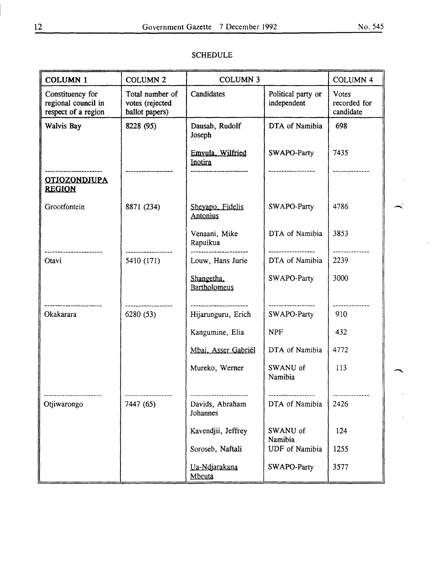# COLUMN 1 COLUMN 2 COLUMN 3 COLUMN 4 Constituency for Total number of Candidates Political party or Votes<br>regional council in votes (rejected for independent recorded for regional council in votes (rejected independent independent recorded for recorded for  $\left\vert \right\vert$  votes (rejected  $\left\vert$  recorded for  $\right\vert$  recorded for  $\left\vert$  recorded for  $\right\vert$  recorded for  $\left\vert$  recorded for  $\left\vert$  re respect of a region Walvis Bay  $\begin{array}{|l|c|c|c|c|c|c|c|c|} \hline \end{array}$  8228 (95)  $\begin{array}{|l|c|c|c|c|c|c|c|c|} \hline \end{array}$  DTA of Namibia  $\begin{array}{|l|c|c|c|c|c|c|c|c|c|c|c|} \hline \end{array}$ Joseph Emvula, Wilfried SWAPO-Party 7435 lru2lirn ---------------------- ------------------ ---------------------- ------------------ -------------- **OTJOZONDJUPA** REGIQN Grootfontein  $| 8871 (234) |$  Shevapo, Fidelis  $|$  SWAPO-Party  $| 4786$ **Antonius** Venaani, Mike | DTA of Namibia | 3853 Rapuikua ---------------------- ------------------ ---------------------- ------------------ -------------- Otavi 5410 (171) Louw, Hans Jurie DT A of Namibia 2239 Shangetha, SWAPO-Party 3000 Bartholomeus ---------------------- ------------------ ---------------------- ------------------ -------------- Hijarunguru, Erich Kangumine, Elia | NPF | 432 Mbai. Asser Gabriël | DTA of Namibia | 4772 Mureko, Werner | SWANU of | 113 Namibia ---------------------- ------------------ ---------------------- ------------------ -------------- Otjiwarongo 7447 (65) Davids, Abraham DTA of Namibia 2426 **Johannes** Kavendjii, Jeffrey | SWANU of | 124 Namibia Soroseb, Naftali | UDF of Namibia | 1255 Ua-Ndjarakana | SWAPO-Party | 3577 Mbeuta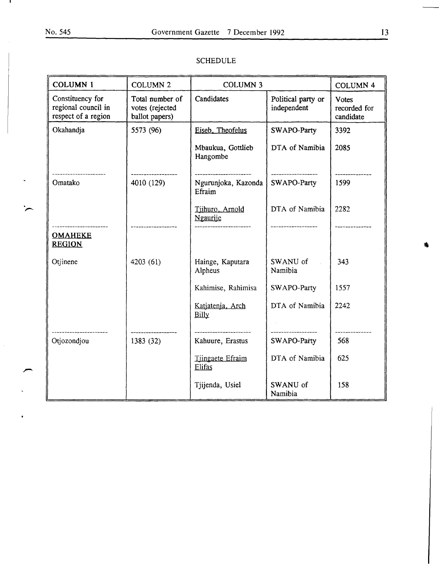$\ddot{\phantom{0}}$ 

 $\overline{a}$ 

| <b>COLUMN 1</b>                                                | <b>COLUMN 2</b>                                      | <b>COLUMN 3</b>               |                                   | <b>COLUMN 4</b>                           |
|----------------------------------------------------------------|------------------------------------------------------|-------------------------------|-----------------------------------|-------------------------------------------|
| Constituency for<br>regional council in<br>respect of a region | Total number of<br>votes (rejected<br>ballot papers) | Candidates                    | Political party or<br>independent | <b>Votes</b><br>recorded for<br>candidate |
| Okahandja                                                      | 5573 (96)                                            | Eiseb, Theofelus              | SWAPO-Party                       | 3392                                      |
|                                                                |                                                      | Mbaukua, Gottlieb<br>Hangombe | DTA of Namibia                    | 2085                                      |
| Omatako                                                        | 4010 (129)                                           | Ngurunjoka, Kazonda<br>Efraim | SWAPO-Party                       | 1599                                      |
|                                                                |                                                      | Tiihuro, Arnold<br>Ngaurije   | DTA of Namibia                    | 2282                                      |
| <b>OMAHEKE</b><br><b>REGION</b>                                |                                                      |                               |                                   |                                           |
| Otjinene                                                       | 4203 (61)                                            | Hainge, Kaputara<br>Alpheus   | SWANU of<br>Namibia               | 343                                       |
|                                                                |                                                      | Kahimise, Rahimisa            | SWAPO-Party                       | 1557                                      |
|                                                                |                                                      | Katjatenja, Arch<br>Billy     | DTA of Namibia                    | 2242                                      |
| Otjozondjou                                                    | 1383 (32)                                            | Kahuure, Erastus              | SWAPO-Party                       | 568                                       |
|                                                                |                                                      | Tiingaete Efraim<br>Elifas    | DTA of Namibia                    | 625                                       |
|                                                                |                                                      | Tjijenda, Usiel               | SWANU of<br>Namibia               | 158                                       |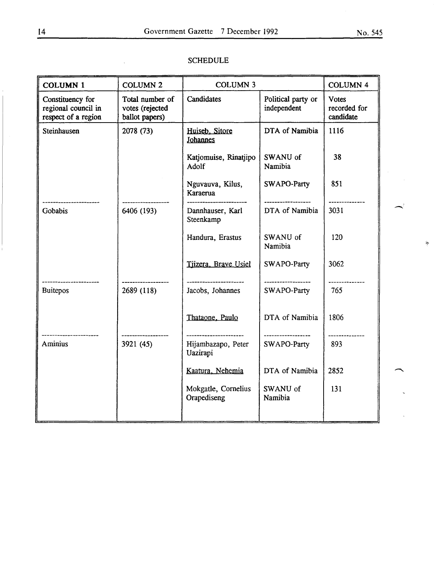| <b>COLUMN 1</b>                                                | <b>COLUMN 2</b>                                      | <b>COLUMN 3</b>                    |                                    | <b>COLUMN 4</b>                           |
|----------------------------------------------------------------|------------------------------------------------------|------------------------------------|------------------------------------|-------------------------------------------|
| Constituency for<br>regional council in<br>respect of a region | Total number of<br>votes (rejected<br>ballot papers) | Candidates                         | Political party or<br>independent  | <b>Votes</b><br>recorded for<br>candidate |
| Steinhausen                                                    | 2078 (73)                                            | Huiseb. Sitore<br><b>Johannes</b>  | DTA of Namibia                     | 1116                                      |
|                                                                |                                                      | Katjomuise, Rinatjipo<br>Adolf     | SWANU of<br>Namibia                | 38                                        |
|                                                                |                                                      | Nguvauva, Kilus,<br>Karaerua       | SWAPO-Party                        | 851                                       |
| Gobabis                                                        | 6406 (193)                                           | Dannhauser, Karl<br>Steenkamp      | DTA of Namibia                     | 3031                                      |
|                                                                |                                                      | Handura, Erastus                   | SWANU of<br>Namibia                | 120                                       |
|                                                                |                                                      | Tiizera, Brave Usiel               | SWAPO-Party                        | 3062                                      |
| <b>Buitepos</b>                                                | 2689 (118)                                           | Jacobs, Johannes                   | -------------------<br>SWAPO-Party | 765                                       |
|                                                                |                                                      | Thataone, Paulo                    | DTA of Namibia                     | 1806                                      |
| Aminius                                                        | 3921 (45)                                            | Hijambazapo, Peter<br>Uazirapi     | -------------------<br>SWAPO-Party | -----------<br>893                        |
|                                                                |                                                      | Kaatura, Nehemia                   | DTA of Namibia                     | 2852                                      |
|                                                                |                                                      | Mokgatle, Cornelius<br>Orapediseng | SWANU of<br>Namibia                | 131                                       |
|                                                                |                                                      |                                    |                                    |                                           |

#### SCHEDULE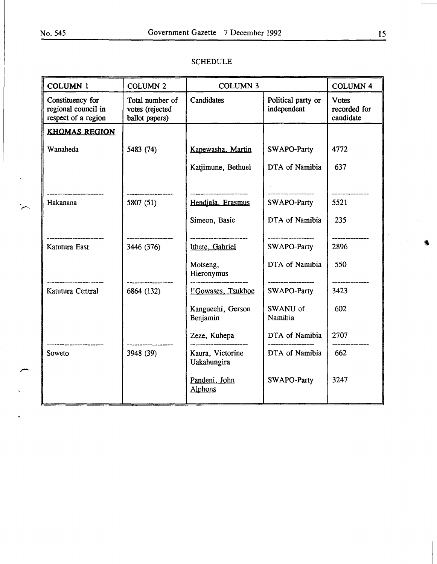| <b>COLUMN 1</b>                                                | <b>COLUMN 2</b>                                      | <b>COLUMN 3</b>                 |                                   | <b>COLUMN 4</b>                           |
|----------------------------------------------------------------|------------------------------------------------------|---------------------------------|-----------------------------------|-------------------------------------------|
| Constituency for<br>regional council in<br>respect of a region | Total number of<br>votes (rejected<br>ballot papers) | Candidates                      | Political party or<br>independent | <b>Votes</b><br>recorded for<br>candidate |
| <b>KHOMAS REGION</b>                                           |                                                      |                                 |                                   |                                           |
| Wanaheda                                                       | 5483 (74)                                            | Kapewasha, Martin               | SWAPO-Party                       | 4772                                      |
|                                                                |                                                      | Katjimune, Bethuel              | DTA of Namibia                    | 637                                       |
|                                                                |                                                      |                                 |                                   |                                           |
| Hakanana                                                       | 5807 (51)                                            | Hendjala, Erasmus               | SWAPO-Party                       | 5521                                      |
|                                                                |                                                      | Simeon, Basie                   | DTA of Namibia                    | 235                                       |
| Katutura East                                                  | 3446 (376)                                           | Ithete, Gabriel                 | SWAPO-Party                       | 2896                                      |
|                                                                |                                                      | Motseng,<br>Hieronymus          | DTA of Namibia                    | 550                                       |
| Katutura Central                                               | 6864 (132)                                           | !!Gowases, Tsukhoe              | SWAPO-Party                       | 3423                                      |
|                                                                |                                                      | Kangueehi, Gerson<br>Benjamin   | SWANU of<br>Namibia               | 602                                       |
|                                                                |                                                      | Zeze, Kuhepa                    | DTA of Namibia                    | 2707                                      |
| Soweto                                                         | 3948 (39)                                            | Kaura, Victorine<br>Uakahungira | DTA of Namibia                    | 662                                       |
|                                                                |                                                      | Pandeni, John<br>Alphons        | SWAPO-Party                       | 3247                                      |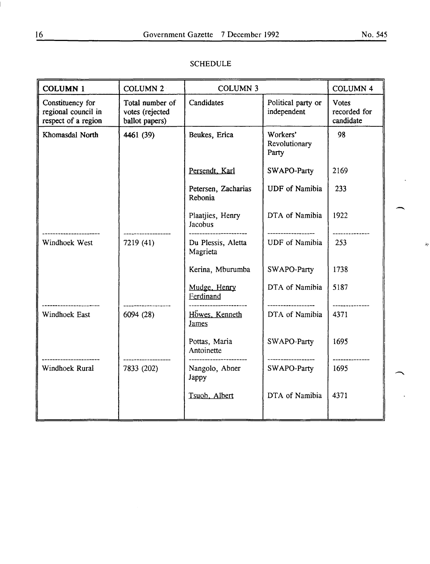| <b>COLUMN 4</b>                           |
|-------------------------------------------|
| <b>Votes</b><br>recorded for<br>candidate |
|                                           |
| 2169                                      |
|                                           |
| 1922<br>------------                      |
| Ŕ,                                        |
| 1738                                      |
| 5187                                      |
| 4371                                      |
| 1695<br>---------------                   |
| 1695                                      |
|                                           |
|                                           |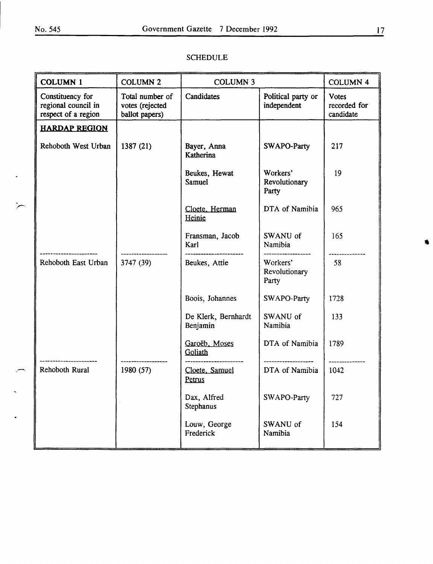$\overline{a}$ 

| <b>COLUMN 1</b>                                                | <b>COLUMN 2</b>                                      | <b>COLUMN 3</b>                 |                                    | <b>COLUMN 4</b>                           |
|----------------------------------------------------------------|------------------------------------------------------|---------------------------------|------------------------------------|-------------------------------------------|
| Constituency for<br>regional council in<br>respect of a region | Total number of<br>votes (rejected<br>ballot papers) | Candidates                      | Political party or<br>independent  | <b>Votes</b><br>recorded for<br>candidate |
| <b>HARDAP REGION</b>                                           |                                                      |                                 |                                    |                                           |
| Rehoboth West Urban                                            | 1387 (21)                                            | Bayer, Anna<br>Katherina        | SWAPO-Party                        | 217                                       |
|                                                                |                                                      | Beukes, Hewat<br>Samuel         | Workers'<br>Revolutionary<br>Party | 19                                        |
|                                                                |                                                      | Cloete, Herman<br>Heinie        | DTA of Namibia                     | 965                                       |
|                                                                |                                                      | Fransman, Jacob<br>Karl         | SWANU of<br>Namibia                | 165                                       |
| Rehoboth East Urban                                            | 3747 (39)                                            | <br>Beukes, Attie               | Workers'<br>Revolutionary<br>Party | $-58$                                     |
|                                                                |                                                      | Boois, Johannes                 | SWAPO-Party                        | 1728                                      |
|                                                                |                                                      | De Klerk, Bernhardt<br>Benjamin | SWANU of<br>Namibia                | 133                                       |
|                                                                |                                                      | Garoëb, Moses<br>Goliath        | DTA of Namibia                     | 1789                                      |
| Rehoboth Rural                                                 | 1980 (57)                                            | Cloete, Samuel<br>Petrus        | DTA of Namibia                     | 1042                                      |
|                                                                |                                                      | Dax, Alfred<br>Stephanus        | SWAPO-Party                        | 727                                       |
|                                                                |                                                      | Louw, George<br>Frederick       | SWANU of<br>Namibia                | 154                                       |
|                                                                |                                                      |                                 |                                    |                                           |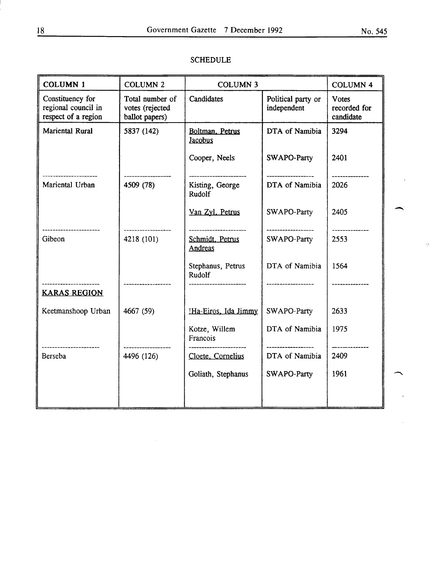$\overline{\gamma}_p$ 

| <b>COLUMN 1</b>                                                | <b>COLUMN 2</b>                                      | <b>COLUMN 3</b>                                             |                                    | <b>COLUMN 4</b>                           |  |
|----------------------------------------------------------------|------------------------------------------------------|-------------------------------------------------------------|------------------------------------|-------------------------------------------|--|
| Constituency for<br>regional council in<br>respect of a region | Total number of<br>votes (rejected<br>ballot papers) | Candidates                                                  | Political party or<br>independent  | <b>Votes</b><br>recorded for<br>candidate |  |
| Mariental Rural                                                | 5837 (142)                                           | Boltman, Petrus<br>Jacobus                                  | DTA of Namibia                     | 3294                                      |  |
|                                                                |                                                      | Cooper, Neels                                               | SWAPO-Party                        | 2401                                      |  |
| Mariental Urban                                                | 4509 (78)                                            | <br>Kisting, George<br>Rudolf                               | DTA of Namibia                     | 2026                                      |  |
|                                                                |                                                      | Van Zyl, Petrus                                             | SWAPO-Party                        | 2405                                      |  |
| ----------------<br>Gibeon                                     | 4218 (101)                                           | ----------------------<br>Schmidt, Petrus<br><b>Andreas</b> | -------------------<br>SWAPO-Party | 2553                                      |  |
|                                                                |                                                      | Stephanus, Petrus<br>Rudolf                                 | DTA of Namibia                     | 1564                                      |  |
| <br><b>KARAS REGION</b>                                        |                                                      |                                                             |                                    |                                           |  |
| Keetmanshoop Urban                                             | 4667 (59)                                            | !Ha-Eiros, Ida Jimmy                                        | SWAPO-Party                        | 2633                                      |  |
|                                                                |                                                      | Kotze, Willem<br>Francois                                   | DTA of Namibia                     | 1975                                      |  |
| Berseba                                                        | 4496 (126)                                           | Cloete, Cornelius                                           | DTA of Namibia                     | 2409                                      |  |
|                                                                |                                                      | Goliath, Stephanus                                          | SWAPO-Party                        | 1961                                      |  |
|                                                                |                                                      |                                                             |                                    |                                           |  |